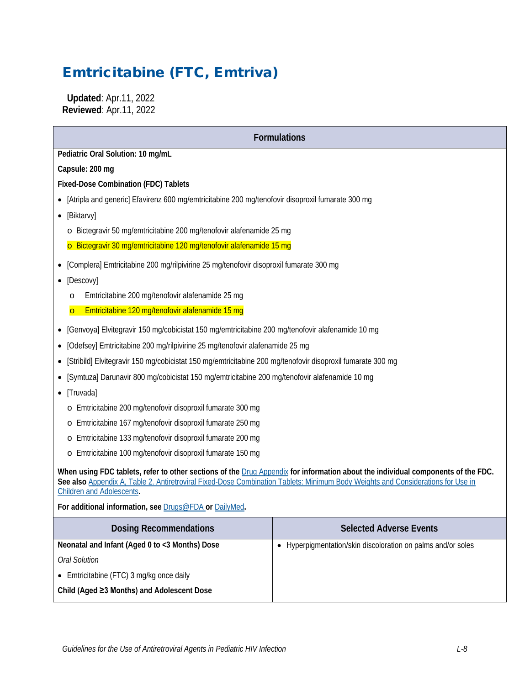# Emtricitabine (FTC, Emtriva)

 **Updated**: Apr.11, 2022 **Reviewed**: Apr.11, 2022

**Formulations**

**Pediatric Oral Solution: 10 mg/mL**

**Capsule: 200 mg**

**Fixed-Dose Combination (FDC) Tablets**

- [Atripla and generic] Efavirenz 600 mg/emtricitabine 200 mg/tenofovir disoproxil fumarate 300 mg
- [Biktarvy]
	- o Bictegravir 50 mg/emtricitabine 200 mg/tenofovir alafenamide 25 mg

o Bictegravir 30 mg/emtricitabine 120 mg/tenofovir alafenamide 15 mg

- [Complera] Emtricitabine 200 mg/rilpivirine 25 mg/tenofovir disoproxil fumarate 300 mg
- [Descovy]
	- o Emtricitabine 200 mg/tenofovir alafenamide 25 mg
	- o Emtricitabine 120 mg/tenofovir alafenamide 15 mg
- [Genvoya] Elvitegravir 150 mg/cobicistat 150 mg/emtricitabine 200 mg/tenofovir alafenamide 10 mg
- [Odefsey] Emtricitabine 200 mg/rilpivirine 25 mg/tenofovir alafenamide 25 mg
- [Stribild] Elvitegravir 150 mg/cobicistat 150 mg/emtricitabine 200 mg/tenofovir disoproxil fumarate 300 mg
- [Symtuza] Darunavir 800 mg/cobicistat 150 mg/emtricitabine 200 mg/tenofovir alafenamide 10 mg
- [Truvada]
	- o Emtricitabine 200 mg/tenofovir disoproxil fumarate 300 mg
	- o Emtricitabine 167 mg/tenofovir disoproxil fumarate 250 mg
	- o Emtricitabine 133 mg/tenofovir disoproxil fumarate 200 mg
	- o Emtricitabine 100 mg/tenofovir disoproxil fumarate 150 mg

**When using FDC tablets, refer to other sections of the** [Drug Appendix](https://clinicalinfo.hiv.gov/en/guidelines/pediatric-arv/overview-0) **for information about the individual components of the FDC.**  See also Appendix A, Table 2. Antiretroviral Fixed-Dose Combination Tablets: Minimum Body Weights and Considerations for Use in [Children and Adolescents](https://clinicalinfo.hiv.gov/en/guidelines/pediatric-arv/appendix-table-2-antiretroviral-fixed-dose-combination-tablets-minimum)**.**

**For additional information, see** [Drugs@FDA](https://www.accessdata.fda.gov/scripts/cder/daf/) **or** [DailyMed](https://dailymed.nlm.nih.gov/dailymed/)**.**

| <b>Dosing Recommendations</b>                  | <b>Selected Adverse Events</b>                             |
|------------------------------------------------|------------------------------------------------------------|
| Neonatal and Infant (Aged 0 to <3 Months) Dose | Hyperpigmentation/skin discoloration on palms and/or soles |
| Oral Solution                                  |                                                            |
| • Emtricitabine (FTC) 3 mg/kg once daily       |                                                            |
| Child (Aged ≥3 Months) and Adolescent Dose     |                                                            |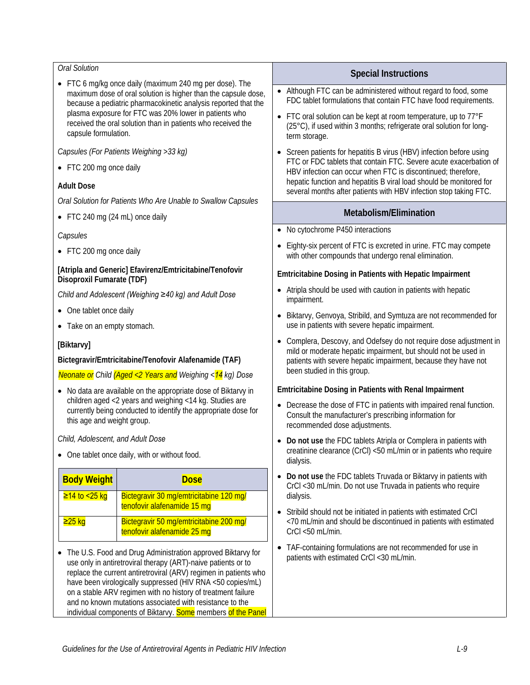#### *Oral Solution*

• FTC 6 mg/kg once daily (maximum 240 mg per dose). The maximum dose of oral solution is higher than the capsule dose, because a pediatric pharmacokinetic analysis reported that the plasma exposure for FTC was 20% lower in patients who received the oral solution than in patients who received the capsule formulation.

*Capsules (For Patients Weighing >33 kg)*

• FTC 200 mg once daily

#### **Adult Dose**

*Oral Solution for Patients Who Are Unable to Swallow Capsules*

• FTC 240 mg (24 mL) once daily

#### *Capsules*

• FTC 200 mg once daily

#### **[Atripla and Generic] Efavirenz/Emtricitabine/Tenofovir Disoproxil Fumarate (TDF)**

*Child and Adolescent (Weighing ≥40 kg) and Adult Dose*

- One tablet once daily
- Take on an empty stomach.

#### **[Biktarvy]**

#### **Bictegravir/Emtricitabine/Tenofovir Alafenamide (TAF)**

*Neonate or Child (Aged <2 Years and Weighing <14 kg) Dose*

• No data are available on the appropriate dose of Biktarvy in children aged <2 years and weighing <14 kg. Studies are currently being conducted to identify the appropriate dose for this age and weight group.

*Child, Adolescent, and Adult Dose*

• One tablet once daily, with or without food.

| <b>Body Weight</b> | <b>Dose</b>                                                            |
|--------------------|------------------------------------------------------------------------|
| ≥14 to <25 kg      | Bictegravir 30 mg/emtricitabine 120 mg/<br>tenofovir alafenamide 15 mg |
| $≥25$ kg           | Bictegravir 50 mg/emtricitabine 200 mg/<br>tenofovir alafenamide 25 mg |
|                    | The LLS Epod and Drug Administration approved Biktary of or            |

• The U.S. Food and Drug Administration approved Biktarvy for use only in antiretroviral therapy (ART)-naive patients or to replace the current antiretroviral (ARV) regimen in patients who have been virologically suppressed (HIV RNA <50 copies/mL) on a stable ARV regimen with no history of treatment failure and no known mutations associated with resistance to the individual components of Biktarvy. Some members of the Panel

#### **Special Instructions**

- Although FTC can be administered without regard to food, some FDC tablet formulations that contain FTC have food requirements.
- FTC oral solution can be kept at room temperature, up to 77°F (25°C), if used within 3 months; refrigerate oral solution for longterm storage.
- Screen patients for hepatitis B virus (HBV) infection before using FTC or FDC tablets that contain FTC. Severe acute exacerbation of HBV infection can occur when FTC is discontinued; therefore, hepatic function and hepatitis B viral load should be monitored for several months after patients with HBV infection stop taking FTC.

#### **Metabolism/Elimination**

- No cytochrome P450 interactions
- Eighty-six percent of FTC is excreted in urine. FTC may compete with other compounds that undergo renal elimination.

#### **Emtricitabine Dosing in Patients with Hepatic Impairment**

- Atripla should be used with caution in patients with hepatic impairment.
- Biktarvy, Genvoya, Stribild, and Symtuza are not recommended for use in patients with severe hepatic impairment.
- Complera, Descovy, and Odefsey do not require dose adjustment in mild or moderate hepatic impairment, but should not be used in patients with severe hepatic impairment, because they have not been studied in this group.

#### **Emtricitabine Dosing in Patients with Renal Impairment**

- Decrease the dose of FTC in patients with impaired renal function. Consult the manufacturer's prescribing information for recommended dose adjustments.
- **Do not use** the FDC tablets Atripla or Complera in patients with creatinine clearance (CrCl) <50 mL/min or in patients who require dialysis.
- **Do not use** the FDC tablets Truvada or Biktarvy in patients with CrCl <30 mL/min. Do not use Truvada in patients who require dialysis.
- Stribild should not be initiated in patients with estimated CrCl <70 mL/min and should be discontinued in patients with estimated CrCl <50 mL/min.
- TAF-containing formulations are not recommended for use in patients with estimated CrCl <30 mL/min.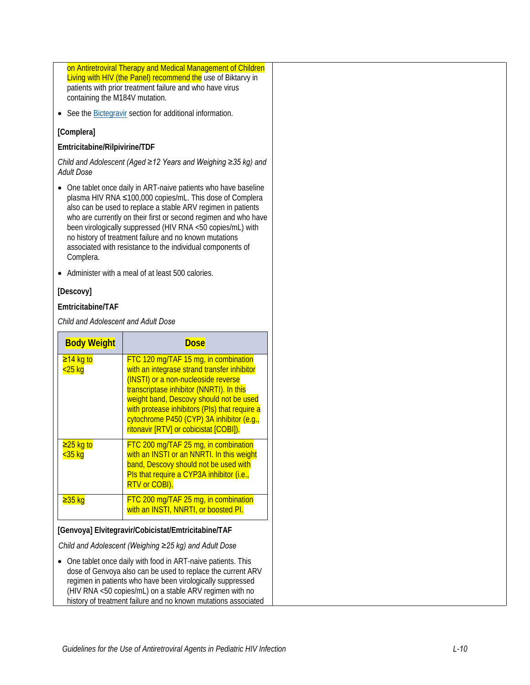on Antiretroviral Therapy and Medical Management of Children Living with HIV (the Panel) recommend the use of Biktary in patients with prior treatment failure and who have virus containing the M184V mutation.

• See the **[Bictegravir](https://clinicalinfo.hiv.gov/en/guidelines/pediatric-arv/bictegravir?view=full)** section for additional information.

#### **[Complera]**

#### **Emtricitabine/Rilpivirine/TDF**

*Child and Adolescent (Aged ≥12 Years and Weighing ≥35 kg) and Adult Dose*

- One tablet once daily in ART-naive patients who have baseline plasma HIV RNA ≤100,000 copies/mL. This dose of Complera also can be used to replace a stable ARV regimen in patients who are currently on their first or second regimen and who have been virologically suppressed (HIV RNA <50 copies/mL) with no history of treatment failure and no known mutations associated with resistance to the individual components of Complera.
- Administer with a meal of at least 500 calories.

#### **[Descovy]**

#### **Emtricitabine/TAF**

*Child and Adolescent and Adult Dose*

| <b>Body Weight</b>              | <b>Dose</b>                                                                                                                                                                                                                                                                                                                                               |
|---------------------------------|-----------------------------------------------------------------------------------------------------------------------------------------------------------------------------------------------------------------------------------------------------------------------------------------------------------------------------------------------------------|
| $≥14$ kg to<br>$<$ 25 $kg$      | FTC 120 mg/TAF 15 mg, in combination<br>with an integrase strand transfer inhibitor<br>(INSTI) or a non-nucleoside reverse<br>transcriptase inhibitor (NNRTI). In this<br>weight band, Descovy should not be used<br>with protease inhibitors (PIs) that require a<br>cytochrome P450 (CYP) 3A inhibitor (e.g.,<br>ritonavir [RTV] or cobicistat [COBI]). |
| <b>≥25 kg to</b><br>$<$ 35 $kg$ | FTC 200 mg/TAF 25 mg, in combination<br>with an INSTI or an NNRTI. In this weight<br>band, Descovy should not be used with<br>Pls that require a CYP3A inhibitor (i.e.,<br>RTV or COBI).                                                                                                                                                                  |
| <mark>≥35 kg</mark>             | FTC 200 mg/TAF 25 mg, in combination<br>with an INSTI, NNRTI, or boosted PI.                                                                                                                                                                                                                                                                              |

#### **[Genvoya] Elvitegravir/Cobicistat/Emtricitabine/TAF**

*Child and Adolescent (Weighing ≥25 kg) and Adult Dose* 

• One tablet once daily with food in ART-naive patients. This dose of Genvoya also can be used to replace the current ARV regimen in patients who have been virologically suppressed (HIV RNA <50 copies/mL) on a stable ARV regimen with no history of treatment failure and no known mutations associated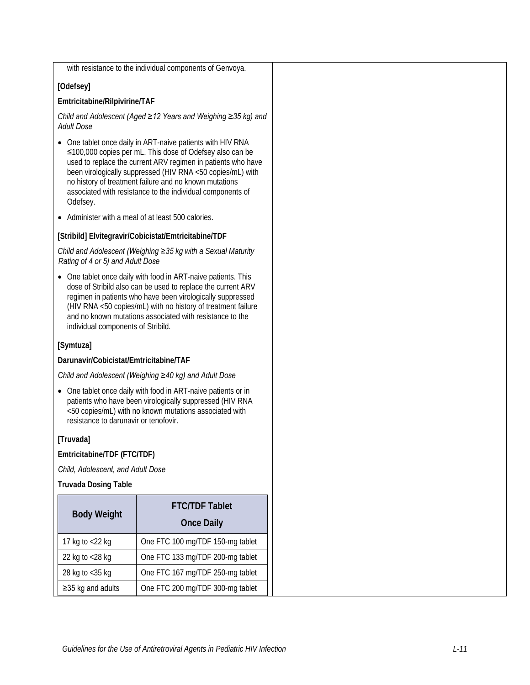with resistance to the individual components of Genvoya.

#### **[Odefsey]**

#### **Emtricitabine/Rilpivirine/TAF**

*Child and Adolescent (Aged ≥12 Years and Weighing ≥35 kg) and Adult Dose* 

- One tablet once daily in ART-naive patients with HIV RNA ≤100,000 copies per mL. This dose of Odefsey also can be used to replace the current ARV regimen in patients who have been virologically suppressed (HIV RNA <50 copies/mL) with no history of treatment failure and no known mutations associated with resistance to the individual components of Odefsey.
- Administer with a meal of at least 500 calories.

#### **[Stribild] Elvitegravir/Cobicistat/Emtricitabine/TDF**

*Child and Adolescent (Weighing ≥35 kg with a Sexual Maturity Rating of 4 or 5) and Adult Dose*

• One tablet once daily with food in ART-naive patients. This dose of Stribild also can be used to replace the current ARV regimen in patients who have been virologically suppressed (HIV RNA <50 copies/mL) with no history of treatment failure and no known mutations associated with resistance to the individual components of Stribild.

#### **[Symtuza]**

#### **Darunavir/Cobicistat/Emtricitabine/TAF**

#### *Child and Adolescent (Weighing ≥40 kg) and Adult Dose*

• One tablet once daily with food in ART-naive patients or in patients who have been virologically suppressed (HIV RNA <50 copies/mL) with no known mutations associated with resistance to darunavir or tenofovir.

#### **[Truvada]**

**Emtricitabine/TDF (FTC/TDF)**

*Child, Adolescent, and Adult Dose*

**Truvada Dosing Table**

| <b>Body Weight</b>      | <b>FTC/TDF Tablet</b><br><b>Once Daily</b> |
|-------------------------|--------------------------------------------|
| 17 kg to <22 kg         | One FTC 100 mg/TDF 150-mg tablet           |
| 22 kg to <28 kg         | One FTC 133 mg/TDF 200-mg tablet           |
| 28 kg to <35 kg         | One FTC 167 mg/TDF 250-mg tablet           |
| $\geq$ 35 kg and adults | One FTC 200 mg/TDF 300-mg tablet           |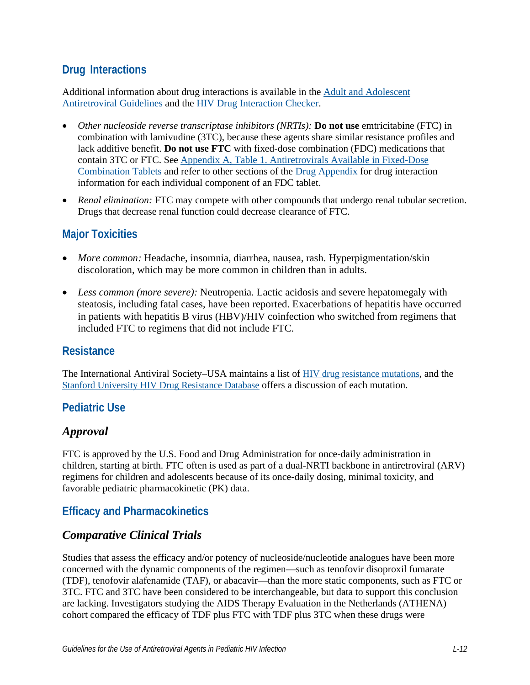# **Drug Interactions**

Additional information about drug interactions is available in the [Adult and Adolescent](https://clinicalinfo.hiv.gov/en/guidelines/adult-and-adolescent-arv/whats-new-guidelines)  [Antiretroviral Guidelines](https://clinicalinfo.hiv.gov/en/guidelines/adult-and-adolescent-arv/whats-new-guidelines) and the [HIV Drug Interaction Checker.](http://www.hiv-druginteractions.org/)

- *Other nucleoside reverse transcriptase inhibitors (NRTIs):* **Do not use** emtricitabine (FTC) in combination with lamivudine (3TC), because these agents share similar resistance profiles and lack additive benefit. **Do not use FTC** with fixed-dose combination (FDC) medications that contain 3TC or FTC. See Appendix A, Table 1. Antiretrovirals Available in Fixed-Dose [Combination Tablets](https://clinicalinfo.hiv.gov/en/guidelines/pediatric-arv/appendix-table-1-antiretrovirals-available-fixed-dose-combination-tablets) and refer to other sections of the [Drug Appendix](https://clinicalinfo.hiv.gov/en/guidelines/pediatric-arv/overview-0) for drug interaction information for each individual component of an FDC tablet.
- *Renal elimination:* FTC may compete with other compounds that undergo renal tubular secretion. Drugs that decrease renal function could decrease clearance of FTC.

# **Major Toxicities**

- *More common:* Headache, insomnia, diarrhea, nausea, rash. Hyperpigmentation/skin discoloration, which may be more common in children than in adults.
- *Less common (more severe):* Neutropenia. Lactic acidosis and severe hepatomegaly with steatosis, including fatal cases, have been reported. Exacerbations of hepatitis have occurred in patients with hepatitis B virus (HBV)/HIV coinfection who switched from regimens that included FTC to regimens that did not include FTC.

## **Resistance**

The International Antiviral Society–USA maintains a list of [HIV drug resistance mutations,](https://www.iasusa.org/resources/hiv-drug-resistance-mutations/) and the [Stanford University HIV Drug Resistance Database](http://hivdb.stanford.edu/DR/) offers a discussion of each mutation.

## **Pediatric Use**

# *Approval*

FTC is approved by the U.S. Food and Drug Administration for once-daily administration in children, starting at birth. FTC often is used as part of a dual-NRTI backbone in antiretroviral (ARV) regimens for children and adolescents because of its once-daily dosing, minimal toxicity, and favorable pediatric pharmacokinetic (PK) data.

# **Efficacy and Pharmacokinetics**

## *Comparative Clinical Trials*

Studies that assess the efficacy and/or potency of nucleoside/nucleotide analogues have been more concerned with the dynamic components of the regimen—such as tenofovir disoproxil fumarate (TDF), tenofovir alafenamide (TAF), or abacavir—than the more static components, such as FTC or 3TC. FTC and 3TC have been considered to be interchangeable, but data to support this conclusion are lacking. Investigators studying the AIDS Therapy Evaluation in the Netherlands (ATHENA) cohort compared the efficacy of TDF plus FTC with TDF plus 3TC when these drugs were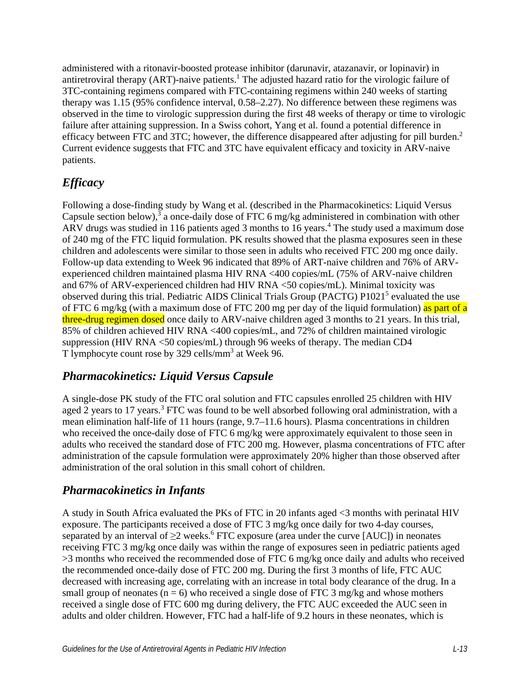administered with a ritonavir-boosted protease inhibitor (darunavir, atazanavir, or lopinavir) in antiretroviral therapy (ART)-naive patients.<sup>[1](#page-7-0)</sup> The adjusted hazard ratio for the virologic failure of 3TC-containing regimens compared with FTC-containing regimens within 240 weeks of starting therapy was 1.15 (95% confidence interval, 0.58–2.27). No difference between these regimens was observed in the time to virologic suppression during the first 48 weeks of therapy or time to virologic failure after attaining suppression. In a Swiss cohort, Yang et al. found a potential difference in efficacy between FTC and 3TC; however, the difference disappeared after adjusting for pill burden.<sup>2</sup> Current evidence suggests that FTC and 3TC have equivalent efficacy and toxicity in ARV-naive patients.

# *Efficacy*

Following a dose-finding study by Wang et al. (described in the Pharmacokinetics: Liquid Versus Capsule section below),<sup>[3](#page-7-2)</sup> a once-daily dose of FTC 6 mg/kg administered in combination with other ARV drugs was studied in 116 patients aged 3 months to 16 years.<sup>4</sup> The study used a maximum dose of 240 mg of the FTC liquid formulation. PK results showed that the plasma exposures seen in these children and adolescents were similar to those seen in adults who received FTC 200 mg once daily. Follow-up data extending to Week 96 indicated that 89% of ART-naive children and 76% of ARVexperienced children maintained plasma HIV RNA <400 copies/mL (75% of ARV-naive children and 67% of ARV**-**experienced children had HIV RNA <50 copies/mL). Minimal toxicity was observed during this trial. Pediatric AIDS Clinical Trials Group (PACTG)  $P1021<sup>5</sup>$  evaluated the use of FTC 6 mg/kg (with a maximum dose of FTC 200 mg per day of the liquid formulation) as part of a three-drug regimen dosed once daily to ARV-naive children aged 3 months to 21 years. In this trial, 85% of children achieved HIV RNA <400 copies/mL, and 72% of children maintained virologic suppression (HIV RNA <50 copies/mL) through 96 weeks of therapy. The median CD4 T lymphocyte count rose by 329 cells/mm<sup>3</sup> at Week 96.

## *Pharmacokinetics: Liquid Versus Capsule*

A single-dose PK study of the FTC oral solution and FTC capsules enrolled 25 children with HIV aged 2 years to 17 years.<sup>3</sup> FTC was found to be well absorbed following oral administration, with a mean elimination half-life of 11 hours (range, 9.7–11.6 hours). Plasma concentrations in children who received the once-daily dose of FTC 6 mg/kg were approximately equivalent to those seen in adults who received the standard dose of FTC 200 mg. However, plasma concentrations of FTC after administration of the capsule formulation were approximately 20% higher than those observed after administration of the oral solution in this small cohort of children.

## *Pharmacokinetics in Infants*

A study in South Africa evaluated the PKs of FTC in 20 infants aged <3 months with perinatal HIV exposure. The participants received a dose of FTC 3 mg/kg once daily for two 4-day courses, separated by an interval of  $\geq$ 2 weeks.<sup>6</sup> FTC exposure (area under the curve [AUC]) in neonates receiving FTC 3 mg/kg once daily was within the range of exposures seen in pediatric patients aged >3 months who received the recommended dose of FTC 6 mg/kg once daily and adults who received the recommended once-daily dose of FTC 200 mg. During the first 3 months of life, FTC AUC decreased with increasing age, correlating with an increase in total body clearance of the drug. In a small group of neonates ( $n = 6$ ) who received a single dose of FTC 3 mg/kg and whose mothers received a single dose of FTC 600 mg during delivery, the FTC AUC exceeded the AUC seen in adults and older children. However, FTC had a half-life of 9.2 hours in these neonates, which is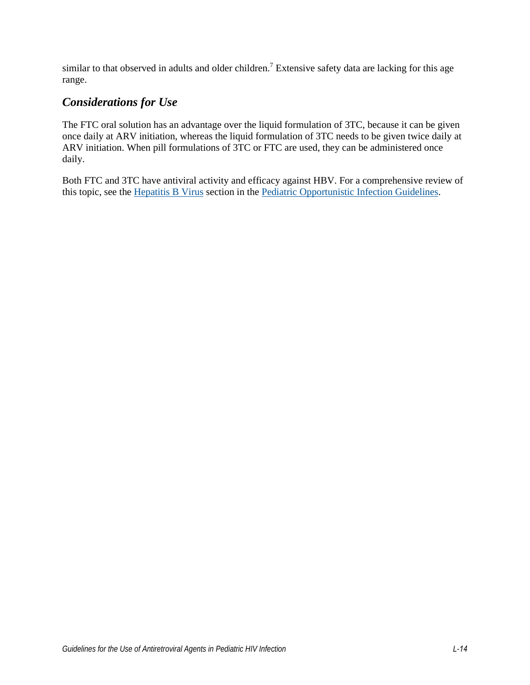similar to that observed in adults and older children.<sup>7</sup> Extensive safety data are lacking for this age range.

# *Considerations for Use*

The FTC oral solution has an advantage over the liquid formulation of 3TC, because it can be given once daily at ARV initiation, whereas the liquid formulation of 3TC needs to be given twice daily at ARV initiation. When pill formulations of 3TC or FTC are used, they can be administered once daily.

Both FTC and 3TC have antiviral activity and efficacy against HBV. For a comprehensive review of this topic, see the [Hepatitis B Virus](https://clinicalinfo.hiv.gov/en/guidelines/pediatric-opportunistic-infection/hepatitis-b-virus?view=full) section in the [Pediatric Opportunistic Infection Guidelines.](https://clinicalinfo.hiv.gov/en/guidelines/pediatric-opportunistic-infection/whats-new)